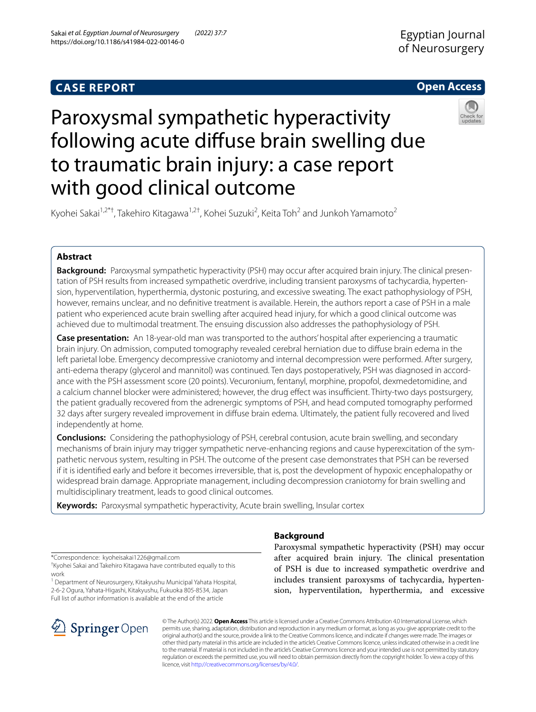# **CASE REPORT**

# **Open Access**



# Paroxysmal sympathetic hyperactivity following acute difuse brain swelling due to traumatic brain injury: a case report with good clinical outcome

Kyohei Sakai<sup>1,2\*†</sup>, Takehiro Kitagawa<sup>1,2†</sup>, Kohei Suzuki<sup>2</sup>, Keita Toh<sup>2</sup> and Junkoh Yamamoto<sup>2</sup>

# **Abstract**

**Background:** Paroxysmal sympathetic hyperactivity (PSH) may occur after acquired brain injury. The clinical presentation of PSH results from increased sympathetic overdrive, including transient paroxysms of tachycardia, hypertension, hyperventilation, hyperthermia, dystonic posturing, and excessive sweating. The exact pathophysiology of PSH, however, remains unclear, and no defnitive treatment is available. Herein, the authors report a case of PSH in a male patient who experienced acute brain swelling after acquired head injury, for which a good clinical outcome was achieved due to multimodal treatment. The ensuing discussion also addresses the pathophysiology of PSH.

**Case presentation:** An 18-year-old man was transported to the authors' hospital after experiencing a traumatic brain injury. On admission, computed tomography revealed cerebral herniation due to difuse brain edema in the left parietal lobe. Emergency decompressive craniotomy and internal decompression were performed. After surgery, anti-edema therapy (glycerol and mannitol) was continued. Ten days postoperatively, PSH was diagnosed in accordance with the PSH assessment score (20 points). Vecuronium, fentanyl, morphine, propofol, dexmedetomidine, and a calcium channel blocker were administered; however, the drug effect was insufficient. Thirty-two days postsurgery, the patient gradually recovered from the adrenergic symptoms of PSH, and head computed tomography performed 32 days after surgery revealed improvement in difuse brain edema. Ultimately, the patient fully recovered and lived independently at home.

**Conclusions:** Considering the pathophysiology of PSH, cerebral contusion, acute brain swelling, and secondary mechanisms of brain injury may trigger sympathetic nerve-enhancing regions and cause hyperexcitation of the sympathetic nervous system, resulting in PSH. The outcome of the present case demonstrates that PSH can be reversed if it is identifed early and before it becomes irreversible, that is, post the development of hypoxic encephalopathy or widespread brain damage. Appropriate management, including decompression craniotomy for brain swelling and multidisciplinary treatment, leads to good clinical outcomes.

**Keywords:** Paroxysmal sympathetic hyperactivity, Acute brain swelling, Insular cortex

\*Correspondence: kyoheisakai1226@gmail.com

† Kyohei Sakai and Takehiro Kitagawa have contributed equally to this work

<sup>1</sup> Department of Neurosurgery, Kitakyushu Municipal Yahata Hospital, 2-6-2 Ogura, Yahata-Higashi, Kitakyushu, Fukuoka 805-8534, Japan Full list of author information is available at the end of the article



# **Background**

Paroxysmal sympathetic hyperactivity (PSH) may occur after acquired brain injury. The clinical presentation of PSH is due to increased sympathetic overdrive and includes transient paroxysms of tachycardia, hypertension, hyperventilation, hyperthermia, and excessive

© The Author(s) 2022. **Open Access** This article is licensed under a Creative Commons Attribution 4.0 International License, which permits use, sharing, adaptation, distribution and reproduction in any medium or format, as long as you give appropriate credit to the original author(s) and the source, provide a link to the Creative Commons licence, and indicate if changes were made. The images or other third party material in this article are included in the article's Creative Commons licence, unless indicated otherwise in a credit line to the material. If material is not included in the article's Creative Commons licence and your intended use is not permitted by statutory regulation or exceeds the permitted use, you will need to obtain permission directly from the copyright holder. To view a copy of this licence, visit [http://creativecommons.org/licenses/by/4.0/.](http://creativecommons.org/licenses/by/4.0/)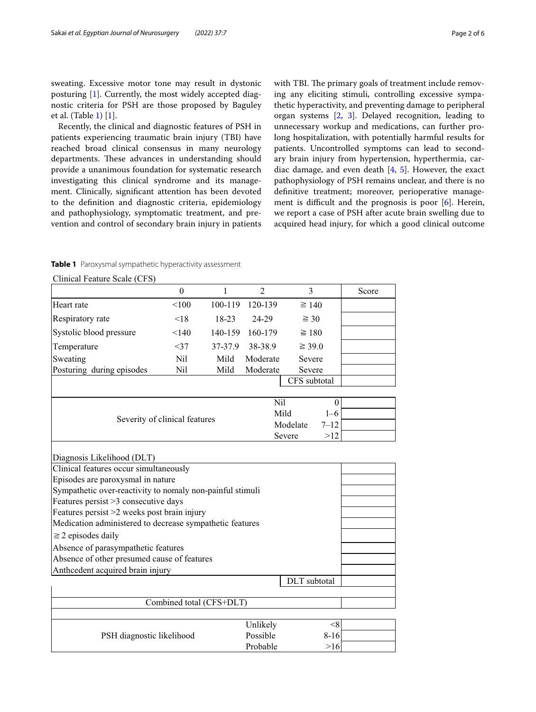sweating. Excessive motor tone may result in dystonic posturing [[1\]](#page-5-0). Currently, the most widely accepted diagnostic criteria for PSH are those proposed by Baguley et al. (Table [1](#page-1-0)) [[1\]](#page-5-0).

Recently, the clinical and diagnostic features of PSH in patients experiencing traumatic brain injury (TBI) have reached broad clinical consensus in many neurology departments. These advances in understanding should provide a unanimous foundation for systematic research investigating this clinical syndrome and its management. Clinically, signifcant attention has been devoted to the defnition and diagnostic criteria, epidemiology and pathophysiology, symptomatic treatment, and prevention and control of secondary brain injury in patients with TBI. The primary goals of treatment include removing any eliciting stimuli, controlling excessive sympathetic hyperactivity, and preventing damage to peripheral organ systems [[2,](#page-5-1) [3](#page-5-2)]. Delayed recognition, leading to unnecessary workup and medications, can further prolong hospitalization, with potentially harmful results for patients. Uncontrolled symptoms can lead to secondary brain injury from hypertension, hyperthermia, cardiac damage, and even death [[4,](#page-5-3) [5](#page-5-4)]. However, the exact pathophysiology of PSH remains unclear, and there is no defnitive treatment; moreover, perioperative management is difficult and the prognosis is poor  $[6]$  $[6]$ . Herein, we report a case of PSH after acute brain swelling due to acquired head injury, for which a good clinical outcome

<span id="page-1-0"></span>

|  |  |  | Table 1 Paroxysmal sympathetic hyperactivity assessment |  |
|--|--|--|---------------------------------------------------------|--|
|--|--|--|---------------------------------------------------------|--|

Clinical Feature Scale (CFS)

| $\epsilon$ mnear i catare searc ( $\epsilon$ i s $\mu$    | $\boldsymbol{0}$ | 1       | $\overline{2}$ | 3            | Score |  |  |  |  |
|-----------------------------------------------------------|------------------|---------|----------------|--------------|-------|--|--|--|--|
| Heart rate                                                | < 100            | 100-119 | 120-139        | $\geq 140$   |       |  |  |  |  |
| Respiratory rate                                          | < 18             | 18-23   | 24-29          | $\geq 30$    |       |  |  |  |  |
| Systolic blood pressure                                   | < 140            | 140-159 | 160-179        | $\geq 180$   |       |  |  |  |  |
| Temperature                                               | <37              | 37-37.9 | 38-38.9        | $\geq$ 39.0  |       |  |  |  |  |
| Sweating                                                  | Nil              | Mild    | Moderate       | Severe       |       |  |  |  |  |
| Posturing during episodes                                 | Nil              | Mild    | Moderate       | Severe       |       |  |  |  |  |
|                                                           |                  |         |                | CFS subtotal |       |  |  |  |  |
|                                                           |                  |         | Nil            | $\Omega$     |       |  |  |  |  |
|                                                           |                  |         |                |              |       |  |  |  |  |
| Severity of clinical features                             |                  |         |                |              |       |  |  |  |  |
|                                                           | >12              |         |                |              |       |  |  |  |  |
| Diagnosis Likelihood (DLT)                                |                  |         |                |              |       |  |  |  |  |
| Clinical features occur simultaneously                    |                  |         |                |              |       |  |  |  |  |
| Episodes are paroxysmal in nature                         |                  |         |                |              |       |  |  |  |  |
| Sympathetic over-reactivity to nomaly non-painful stimuli |                  |         |                |              |       |  |  |  |  |
| Features persist >3 consecutive days                      |                  |         |                |              |       |  |  |  |  |
| Features persist >2 weeks post brain injury               |                  |         |                |              |       |  |  |  |  |
| Medication administered to decrease sympathetic features  |                  |         |                |              |       |  |  |  |  |
| $\geq$ 2 episodes daily                                   |                  |         |                |              |       |  |  |  |  |
| Absence of parasympathetic features                       |                  |         |                |              |       |  |  |  |  |
| Absence of other presumed cause of features               |                  |         |                |              |       |  |  |  |  |
| Anthcedent acquired brain injury                          |                  |         |                | DLT subtotal |       |  |  |  |  |
|                                                           |                  |         |                |              |       |  |  |  |  |
| Combined total (CFS+DLT)                                  |                  |         |                |              |       |  |  |  |  |
| Unlikely<br>< 8                                           |                  |         |                |              |       |  |  |  |  |
|                                                           |                  |         |                |              |       |  |  |  |  |
| PSH diagnostic likelihood                                 |                  |         | Possible       | $8 - 16$     |       |  |  |  |  |
|                                                           | Probable         | $>16$   |                |              |       |  |  |  |  |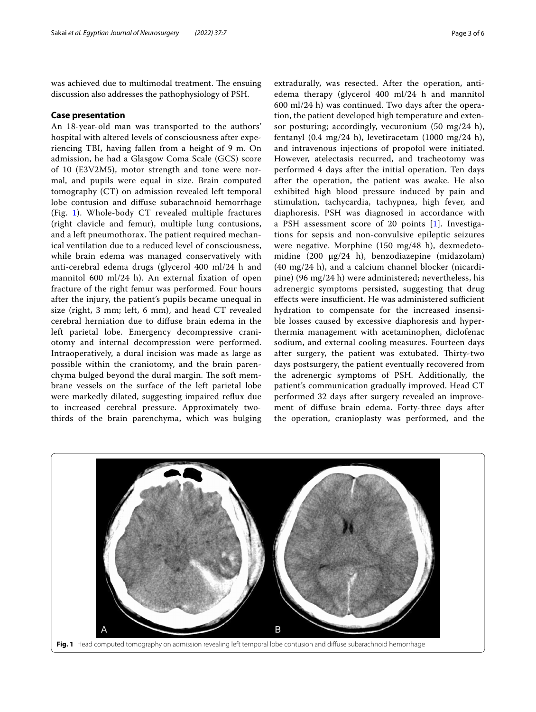was achieved due to multimodal treatment. The ensuing discussion also addresses the pathophysiology of PSH.

#### **Case presentation**

An 18-year-old man was transported to the authors' hospital with altered levels of consciousness after experiencing TBI, having fallen from a height of 9 m. On admission, he had a Glasgow Coma Scale (GCS) score of 10 (E3V2M5), motor strength and tone were normal, and pupils were equal in size. Brain computed tomography (CT) on admission revealed left temporal lobe contusion and difuse subarachnoid hemorrhage (Fig. [1](#page-2-0)). Whole-body CT revealed multiple fractures (right clavicle and femur), multiple lung contusions, and a left pneumothorax. The patient required mechanical ventilation due to a reduced level of consciousness, while brain edema was managed conservatively with anti-cerebral edema drugs (glycerol 400 ml/24 h and mannitol 600 ml/24 h). An external fxation of open fracture of the right femur was performed. Four hours after the injury, the patient's pupils became unequal in size (right, 3 mm; left, 6 mm), and head CT revealed cerebral herniation due to difuse brain edema in the left parietal lobe. Emergency decompressive craniotomy and internal decompression were performed. Intraoperatively, a dural incision was made as large as possible within the craniotomy, and the brain parenchyma bulged beyond the dural margin. The soft membrane vessels on the surface of the left parietal lobe were markedly dilated, suggesting impaired refux due to increased cerebral pressure. Approximately twothirds of the brain parenchyma, which was bulging extradurally, was resected. After the operation, antiedema therapy (glycerol 400 ml/24 h and mannitol 600 ml/24 h) was continued. Two days after the operation, the patient developed high temperature and extensor posturing; accordingly, vecuronium (50 mg/24 h), fentanyl (0.4 mg/24 h), levetiracetam (1000 mg/24 h), and intravenous injections of propofol were initiated. However, atelectasis recurred, and tracheotomy was performed 4 days after the initial operation. Ten days after the operation, the patient was awake. He also exhibited high blood pressure induced by pain and stimulation, tachycardia, tachypnea, high fever, and diaphoresis. PSH was diagnosed in accordance with a PSH assessment score of 20 points [\[1](#page-5-0)]. Investigations for sepsis and non-convulsive epileptic seizures were negative. Morphine (150 mg/48 h), dexmedetomidine (200 μg/24 h), benzodiazepine (midazolam) (40 mg/24 h), and a calcium channel blocker (nicardipine) (96 mg/24 h) were administered; nevertheless, his adrenergic symptoms persisted, suggesting that drug effects were insufficient. He was administered sufficient hydration to compensate for the increased insensible losses caused by excessive diaphoresis and hyperthermia management with acetaminophen, diclofenac sodium, and external cooling measures. Fourteen days after surgery, the patient was extubated. Thirty-two days postsurgery, the patient eventually recovered from the adrenergic symptoms of PSH. Additionally, the patient's communication gradually improved. Head CT performed 32 days after surgery revealed an improvement of difuse brain edema. Forty-three days after the operation, cranioplasty was performed, and the

<span id="page-2-0"></span>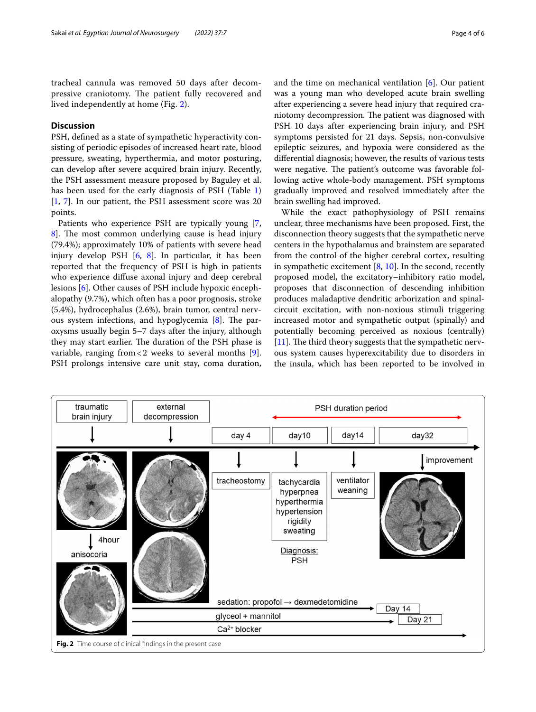tracheal cannula was removed 50 days after decompressive craniotomy. The patient fully recovered and lived independently at home (Fig. [2\)](#page-3-0).

### **Discussion**

PSH, defned as a state of sympathetic hyperactivity consisting of periodic episodes of increased heart rate, blood pressure, sweating, hyperthermia, and motor posturing, can develop after severe acquired brain injury. Recently, the PSH assessment measure proposed by Baguley et al. has been used for the early diagnosis of PSH (Table [1](#page-1-0)) [[1,](#page-5-0) [7\]](#page-5-6). In our patient, the PSH assessment score was 20 points.

Patients who experience PSH are typically young [\[7](#page-5-6), 8. The most common underlying cause is head injury (79.4%); approximately 10% of patients with severe head injury develop PSH [[6](#page-5-5), [8](#page-5-7)]. In particular, it has been reported that the frequency of PSH is high in patients who experience difuse axonal injury and deep cerebral lesions [\[6](#page-5-5)]. Other causes of PSH include hypoxic encephalopathy (9.7%), which often has a poor prognosis, stroke (5.4%), hydrocephalus (2.6%), brain tumor, central nerv-ous system infections, and hypoglycemia [\[8\]](#page-5-7). The paroxysms usually begin 5–7 days after the injury, although they may start earlier. The duration of the PSH phase is variable, ranging from  $< 2$  weeks to several months [\[9](#page-5-8)]. PSH prolongs intensive care unit stay, coma duration, and the time on mechanical ventilation [[6\]](#page-5-5). Our patient was a young man who developed acute brain swelling after experiencing a severe head injury that required craniotomy decompression. The patient was diagnosed with PSH 10 days after experiencing brain injury, and PSH symptoms persisted for 21 days. Sepsis, non-convulsive epileptic seizures, and hypoxia were considered as the diferential diagnosis; however, the results of various tests were negative. The patient's outcome was favorable following active whole-body management. PSH symptoms gradually improved and resolved immediately after the brain swelling had improved.

While the exact pathophysiology of PSH remains unclear, three mechanisms have been proposed. First, the disconnection theory suggests that the sympathetic nerve centers in the hypothalamus and brainstem are separated from the control of the higher cerebral cortex, resulting in sympathetic excitement  $[8, 10]$  $[8, 10]$  $[8, 10]$ . In the second, recently proposed model, the excitatory–inhibitory ratio model, proposes that disconnection of descending inhibition produces maladaptive dendritic arborization and spinalcircuit excitation, with non-noxious stimuli triggering increased motor and sympathetic output (spinally) and potentially becoming perceived as noxious (centrally)  $[11]$  $[11]$ . The third theory suggests that the sympathetic nervous system causes hyperexcitability due to disorders in the insula, which has been reported to be involved in

<span id="page-3-0"></span>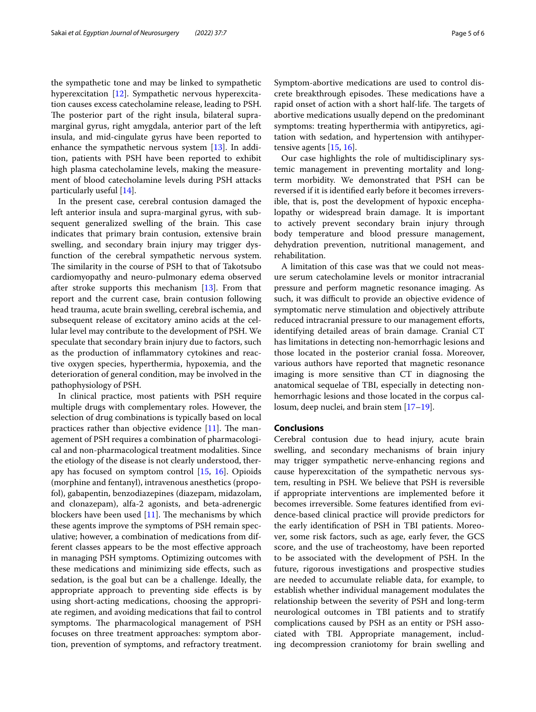the sympathetic tone and may be linked to sympathetic hyperexcitation [[12\]](#page-5-11). Sympathetic nervous hyperexcitation causes excess catecholamine release, leading to PSH. The posterior part of the right insula, bilateral supramarginal gyrus, right amygdala, anterior part of the left insula, and mid-cingulate gyrus have been reported to enhance the sympathetic nervous system [\[13](#page-5-12)]. In addition, patients with PSH have been reported to exhibit high plasma catecholamine levels, making the measurement of blood catecholamine levels during PSH attacks particularly useful [\[14](#page-5-13)].

In the present case, cerebral contusion damaged the left anterior insula and supra-marginal gyrus, with subsequent generalized swelling of the brain. This case indicates that primary brain contusion, extensive brain swelling, and secondary brain injury may trigger dysfunction of the cerebral sympathetic nervous system. The similarity in the course of PSH to that of Takotsubo cardiomyopathy and neuro-pulmonary edema observed after stroke supports this mechanism [\[13\]](#page-5-12). From that report and the current case, brain contusion following head trauma, acute brain swelling, cerebral ischemia, and subsequent release of excitatory amino acids at the cellular level may contribute to the development of PSH. We speculate that secondary brain injury due to factors, such as the production of infammatory cytokines and reactive oxygen species, hyperthermia, hypoxemia, and the deterioration of general condition, may be involved in the pathophysiology of PSH.

In clinical practice, most patients with PSH require multiple drugs with complementary roles. However, the selection of drug combinations is typically based on local practices rather than objective evidence  $[11]$  $[11]$ . The management of PSH requires a combination of pharmacological and non-pharmacological treatment modalities. Since the etiology of the disease is not clearly understood, therapy has focused on symptom control [\[15](#page-5-14), [16](#page-5-15)]. Opioids (morphine and fentanyl), intravenous anesthetics (propofol), gabapentin, benzodiazepines (diazepam, midazolam, and clonazepam), alfa-2 agonists, and beta-adrenergic blockers have been used  $[11]$ . The mechanisms by which these agents improve the symptoms of PSH remain speculative; however, a combination of medications from different classes appears to be the most efective approach in managing PSH symptoms. Optimizing outcomes with these medications and minimizing side efects, such as sedation, is the goal but can be a challenge. Ideally, the appropriate approach to preventing side efects is by using short-acting medications, choosing the appropriate regimen, and avoiding medications that fail to control symptoms. The pharmacological management of PSH focuses on three treatment approaches: symptom abortion, prevention of symptoms, and refractory treatment. Symptom-abortive medications are used to control discrete breakthrough episodes. These medications have a rapid onset of action with a short half-life. The targets of abortive medications usually depend on the predominant symptoms: treating hyperthermia with antipyretics, agitation with sedation, and hypertension with antihypertensive agents [\[15](#page-5-14), [16](#page-5-15)].

Our case highlights the role of multidisciplinary systemic management in preventing mortality and longterm morbidity. We demonstrated that PSH can be reversed if it is identifed early before it becomes irreversible, that is, post the development of hypoxic encephalopathy or widespread brain damage. It is important to actively prevent secondary brain injury through body temperature and blood pressure management, dehydration prevention, nutritional management, and rehabilitation.

A limitation of this case was that we could not measure serum catecholamine levels or monitor intracranial pressure and perform magnetic resonance imaging. As such, it was difficult to provide an objective evidence of symptomatic nerve stimulation and objectively attribute reduced intracranial pressure to our management efforts, identifying detailed areas of brain damage. Cranial CT has limitations in detecting non-hemorrhagic lesions and those located in the posterior cranial fossa. Moreover, various authors have reported that magnetic resonance imaging is more sensitive than CT in diagnosing the anatomical sequelae of TBI, especially in detecting nonhemorrhagic lesions and those located in the corpus callosum, deep nuclei, and brain stem [\[17–](#page-5-16)[19\]](#page-5-17).

#### **Conclusions**

Cerebral contusion due to head injury, acute brain swelling, and secondary mechanisms of brain injury may trigger sympathetic nerve-enhancing regions and cause hyperexcitation of the sympathetic nervous system, resulting in PSH. We believe that PSH is reversible if appropriate interventions are implemented before it becomes irreversible. Some features identifed from evidence-based clinical practice will provide predictors for the early identifcation of PSH in TBI patients. Moreover, some risk factors, such as age, early fever, the GCS score, and the use of tracheostomy, have been reported to be associated with the development of PSH. In the future, rigorous investigations and prospective studies are needed to accumulate reliable data, for example, to establish whether individual management modulates the relationship between the severity of PSH and long-term neurological outcomes in TBI patients and to stratify complications caused by PSH as an entity or PSH associated with TBI. Appropriate management, including decompression craniotomy for brain swelling and